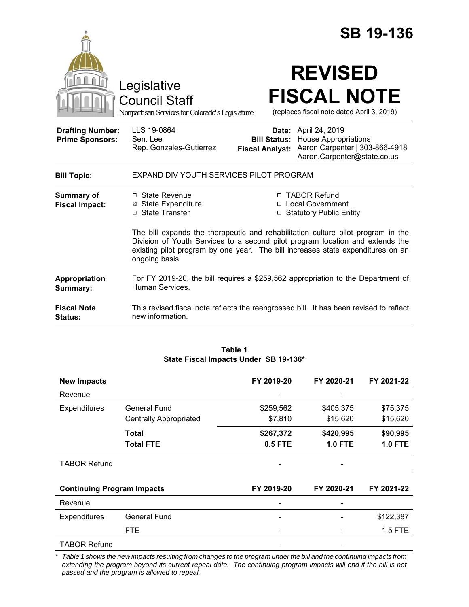|                                                   |                                                                                                                                                                                                                                                                        |                                               | <b>SB 19-136</b>                                                                                                     |  |
|---------------------------------------------------|------------------------------------------------------------------------------------------------------------------------------------------------------------------------------------------------------------------------------------------------------------------------|-----------------------------------------------|----------------------------------------------------------------------------------------------------------------------|--|
|                                                   | Legislative<br><b>Council Staff</b><br>Nonpartisan Services for Colorado's Legislature                                                                                                                                                                                 |                                               | <b>REVISED</b><br><b>FISCAL NOTE</b><br>(replaces fiscal note dated April 3, 2019)                                   |  |
| <b>Drafting Number:</b><br><b>Prime Sponsors:</b> | LLS 19-0864<br>Sen. Lee<br>Rep. Gonzales-Gutierrez                                                                                                                                                                                                                     | <b>Bill Status:</b><br><b>Fiscal Analyst:</b> | Date: April 24, 2019<br><b>House Appropriations</b><br>Aaron Carpenter   303-866-4918<br>Aaron.Carpenter@state.co.us |  |
| <b>Bill Topic:</b>                                | EXPAND DIV YOUTH SERVICES PILOT PROGRAM                                                                                                                                                                                                                                |                                               |                                                                                                                      |  |
| <b>Summary of</b><br><b>Fiscal Impact:</b>        | □ State Revenue<br><b>⊠ State Expenditure</b><br>□ State Transfer                                                                                                                                                                                                      |                                               | □ TABOR Refund<br>□ Local Government<br>□ Statutory Public Entity                                                    |  |
|                                                   | The bill expands the therapeutic and rehabilitation culture pilot program in the<br>Division of Youth Services to a second pilot program location and extends the<br>existing pilot program by one year. The bill increases state expenditures on an<br>ongoing basis. |                                               |                                                                                                                      |  |
| Appropriation<br>Summary:                         | For FY 2019-20, the bill requires a \$259,562 appropriation to the Department of<br>Human Services.                                                                                                                                                                    |                                               |                                                                                                                      |  |
| <b>Fiscal Note</b><br>Status:                     | new information.                                                                                                                                                                                                                                                       |                                               | This revised fiscal note reflects the reengrossed bill. It has been revised to reflect                               |  |

#### **Table 1 State Fiscal Impacts Under SB 19-136\***

| <b>New Impacts</b>                |                               | FY 2019-20     | FY 2020-21     | FY 2021-22     |
|-----------------------------------|-------------------------------|----------------|----------------|----------------|
| Revenue                           |                               |                |                |                |
| Expenditures                      | General Fund                  | \$259,562      | \$405,375      | \$75,375       |
|                                   | <b>Centrally Appropriated</b> | \$7,810        | \$15,620       | \$15,620       |
|                                   | Total                         | \$267,372      | \$420,995      | \$90,995       |
|                                   | <b>Total FTE</b>              | <b>0.5 FTE</b> | <b>1.0 FTE</b> | <b>1.0 FTE</b> |
| <b>TABOR Refund</b>               |                               |                |                |                |
| <b>Continuing Program Impacts</b> |                               | FY 2019-20     | FY 2020-21     | FY 2021-22     |
| Revenue                           |                               |                |                |                |
| Expenditures                      | <b>General Fund</b>           |                |                | \$122,387      |
|                                   | <b>FTE</b>                    |                |                | 1.5 FTE        |
| <b>TABOR Refund</b>               |                               |                |                |                |

\* Table 1 shows the new impacts resulting from changes to the program under the bill and the continuing impacts from *extending the program beyond its current repeal date. The continuing program impacts will end if the bill is not passed and the program is allowed to repeal.*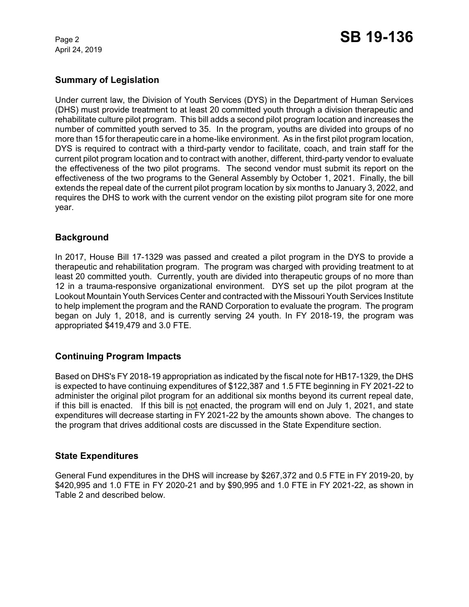April 24, 2019

# **Summary of Legislation**

Under current law, the Division of Youth Services (DYS) in the Department of Human Services (DHS) must provide treatment to at least 20 committed youth through a division therapeutic and rehabilitate culture pilot program. This bill adds a second pilot program location and increases the number of committed youth served to 35. In the program, youths are divided into groups of no more than 15 for therapeutic care in a home-like environment. As in the first pilot program location, DYS is required to contract with a third-party vendor to facilitate, coach, and train staff for the current pilot program location and to contract with another, different, third-party vendor to evaluate the effectiveness of the two pilot programs. The second vendor must submit its report on the effectiveness of the two programs to the General Assembly by October 1, 2021. Finally, the bill extends the repeal date of the current pilot program location by six months to January 3, 2022, and requires the DHS to work with the current vendor on the existing pilot program site for one more year.

## **Background**

In 2017, House Bill 17-1329 was passed and created a pilot program in the DYS to provide a therapeutic and rehabilitation program. The program was charged with providing treatment to at least 20 committed youth. Currently, youth are divided into therapeutic groups of no more than 12 in a trauma-responsive organizational environment. DYS set up the pilot program at the Lookout Mountain Youth Services Center and contracted with the Missouri Youth Services Institute to help implement the program and the RAND Corporation to evaluate the program. The program began on July 1, 2018, and is currently serving 24 youth. In FY 2018-19, the program was appropriated \$419,479 and 3.0 FTE.

# **Continuing Program Impacts**

Based on DHS's FY 2018-19 appropriation as indicated by the fiscal note for HB17-1329, the DHS is expected to have continuing expenditures of \$122,387 and 1.5 FTE beginning in FY 2021-22 to administer the original pilot program for an additional six months beyond its current repeal date, if this bill is enacted. If this bill is not enacted, the program will end on July 1, 2021, and state expenditures will decrease starting in FY 2021-22 by the amounts shown above. The changes to the program that drives additional costs are discussed in the State Expenditure section.

### **State Expenditures**

General Fund expenditures in the DHS will increase by \$267,372 and 0.5 FTE in FY 2019-20, by \$420,995 and 1.0 FTE in FY 2020-21 and by \$90,995 and 1.0 FTE in FY 2021-22, as shown in Table 2 and described below.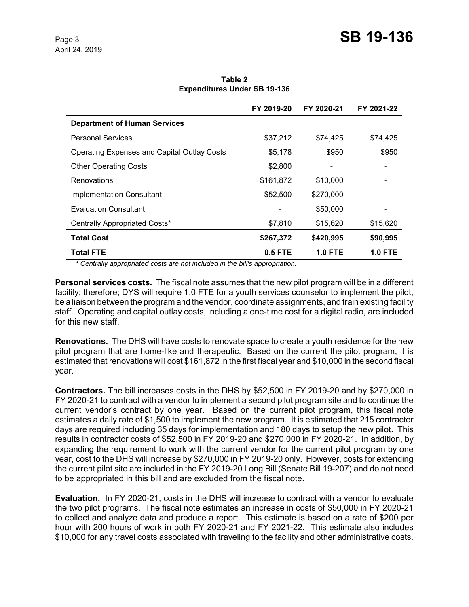**Table 2 Expenditures Under SB 19-136**

|                                                    | FY 2019-20 | FY 2020-21     | FY 2021-22     |
|----------------------------------------------------|------------|----------------|----------------|
| <b>Department of Human Services</b>                |            |                |                |
| <b>Personal Services</b>                           | \$37,212   | \$74,425       | \$74,425       |
| <b>Operating Expenses and Capital Outlay Costs</b> | \$5,178    | \$950          | \$950          |
| <b>Other Operating Costs</b>                       | \$2,800    |                |                |
| Renovations                                        | \$161,872  | \$10,000       |                |
| <b>Implementation Consultant</b>                   | \$52,500   | \$270,000      |                |
| Evaluation Consultant                              |            | \$50,000       |                |
| Centrally Appropriated Costs*                      | \$7,810    | \$15,620       | \$15,620       |
| <b>Total Cost</b>                                  | \$267,372  | \$420,995      | \$90,995       |
| Total FTE                                          | $0.5$ FTE  | <b>1.0 FTE</b> | <b>1.0 FTE</b> |

*\* Centrally appropriated costs are not included in the bill's appropriation.*

**Personal services costs.** The fiscal note assumes that the new pilot program will be in a different facility; therefore; DYS will require 1.0 FTE for a youth services counselor to implement the pilot, be a liaison between the program and the vendor, coordinate assignments, and train existing facility staff. Operating and capital outlay costs, including a one-time cost for a digital radio, are included for this new staff.

**Renovations.** The DHS will have costs to renovate space to create a youth residence for the new pilot program that are home-like and therapeutic. Based on the current the pilot program, it is estimated that renovations will cost \$161,872 in the first fiscal year and \$10,000 in the second fiscal year.

**Contractors.** The bill increases costs in the DHS by \$52,500 in FY 2019-20 and by \$270,000 in FY 2020-21 to contract with a vendor to implement a second pilot program site and to continue the current vendor's contract by one year. Based on the current pilot program, this fiscal note estimates a daily rate of \$1,500 to implement the new program. It is estimated that 215 contractor days are required including 35 days for implementation and 180 days to setup the new pilot. This results in contractor costs of \$52,500 in FY 2019-20 and \$270,000 in FY 2020-21. In addition, by expanding the requirement to work with the current vendor for the current pilot program by one year, cost to the DHS will increase by \$270,000 in FY 2019-20 only. However, costs for extending the current pilot site are included in the FY 2019-20 Long Bill (Senate Bill 19-207) and do not need to be appropriated in this bill and are excluded from the fiscal note.

**Evaluation.** In FY 2020-21, costs in the DHS will increase to contract with a vendor to evaluate the two pilot programs. The fiscal note estimates an increase in costs of \$50,000 in FY 2020-21 to collect and analyze data and produce a report. This estimate is based on a rate of \$200 per hour with 200 hours of work in both FY 2020-21 and FY 2021-22. This estimate also includes \$10,000 for any travel costs associated with traveling to the facility and other administrative costs.